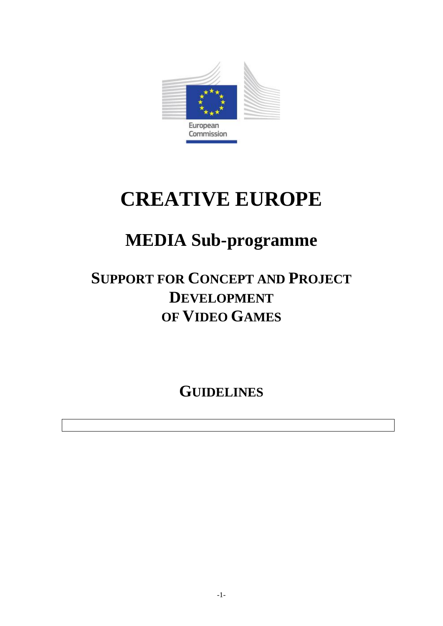

# **CREATIVE EUROPE**

## **MEDIA Sub-programme**

## **SUPPORT FOR CONCEPT AND PROJECT DEVELOPMENT OF VIDEO GAMES**

**GUIDELINES**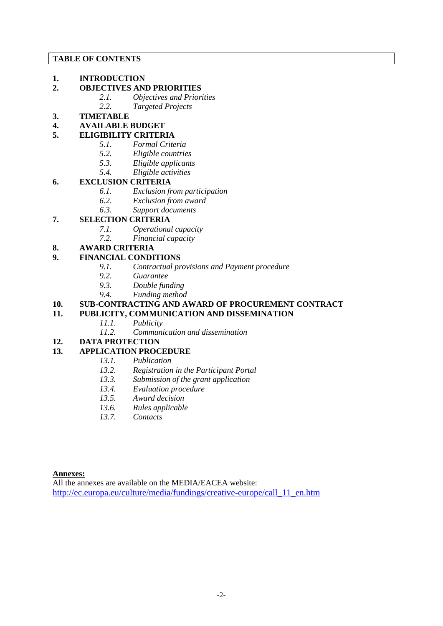#### **TABLE OF CONTENTS**

#### **1. INTRODUCTION**

- **2. OBJECTIVES AND PRIORITIES**
	- *2.1. Objectives and Priorities 2.2. Targeted Projects*
- **3. TIMETABLE**
- **4. AVAILABLE BUDGET**

## **5. ELIGIBILITY CRITERIA**

- *5.1. Formal Criteria*
	- *5.2. Eligible countries*
	- *5.3. Eligible applicants*
	- *5.4. Eligible activities*

## **6. EXCLUSION CRITERIA**

- *6.1. Exclusion from participation*
- *6.2. Exclusion from award*
- *6.3. Support documents*

## **7. SELECTION CRITERIA**

- *7.1. Operational capacity*
- *7.2. Financial capacity*

## **8. AWARD CRITERIA**

## **9. FINANCIAL CONDITIONS**

- *9.1. Contractual provisions and Payment procedure*
- *9.2. Guarantee*
- *9.3. Double funding*
- *9.4. Funding method*

## **10. SUB-CONTRACTING AND AWARD OF PROCUREMENT CONTRACT**

## **11. PUBLICITY, COMMUNICATION AND DISSEMINATION**

- *11.1. Publicity*
- *11.2. Communication and dissemination*
- **12. DATA PROTECTION**

## **13. APPLICATION PROCEDURE**

- *13.1. Publication*
- *13.2. Registration in the Participant Portal*
- *13.3. Submission of the grant application*
- *13.4. Evaluation procedure*
- *13.5. Award decision*
- *13.6. Rules applicable*
- *13.7. Contacts*

## **Annexes:**

All the annexes are available on the MEDIA/EACEA website: [http://ec.europa.eu/culture/media/fundings/creative-europe/call\\_11\\_en.htm](http://ec.europa.eu/culture/media/fundings/creative-europe/call_11_en.htm)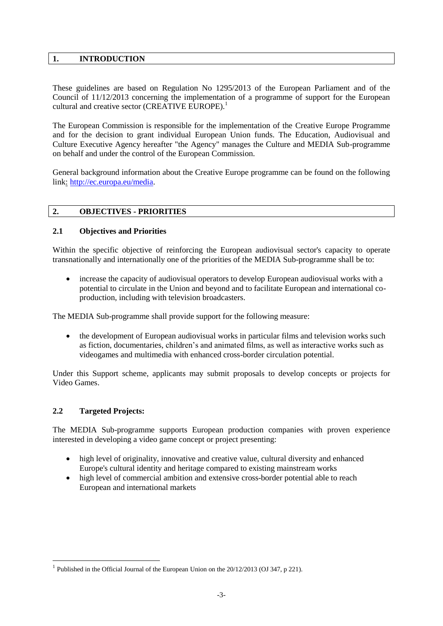#### **1. INTRODUCTION**

These guidelines are based on Regulation No 1295/2013 of the European Parliament and of the Council of 11/12/2013 concerning the implementation of a programme of support for the European cultural and creative sector (CREATIVE EUROPE).<sup>1</sup>

The European Commission is responsible for the implementation of the Creative Europe Programme and for the decision to grant individual European Union funds. The Education, Audiovisual and Culture Executive Agency hereafter "the Agency" manages the Culture and MEDIA Sub-programme on behalf and under the control of the European Commission.

General background information about the Creative Europe programme can be found on the following link: [http://ec.europa.eu/media.](http://ec.europa.eu/media)

#### **2. OBJECTIVES - PRIORITIES**

#### **2.1 Objectives and Priorities**

Within the specific objective of reinforcing the European audiovisual sector's capacity to operate transnationally and internationally one of the priorities of the MEDIA Sub-programme shall be to:

 increase the capacity of audiovisual operators to develop European audiovisual works with a potential to circulate in the Union and beyond and to facilitate European and international coproduction, including with television broadcasters.

The MEDIA Sub-programme shall provide support for the following measure:

• the development of European audiovisual works in particular films and television works such as fiction, documentaries, children's and animated films, as well as interactive works such as videogames and multimedia with enhanced cross-border circulation potential.

Under this Support scheme, applicants may submit proposals to develop concepts or projects for Video Games.

#### **2.2 Targeted Projects:**

1

The MEDIA Sub-programme supports European production companies with proven experience interested in developing a video game concept or project presenting:

- high level of originality, innovative and creative value, cultural diversity and enhanced Europe's cultural identity and heritage compared to existing mainstream works
- high level of commercial ambition and extensive cross-border potential able to reach European and international markets

<sup>&</sup>lt;sup>1</sup> Published in the Official Journal of the European Union on the  $20/12/2013$  (OJ 347, p 221).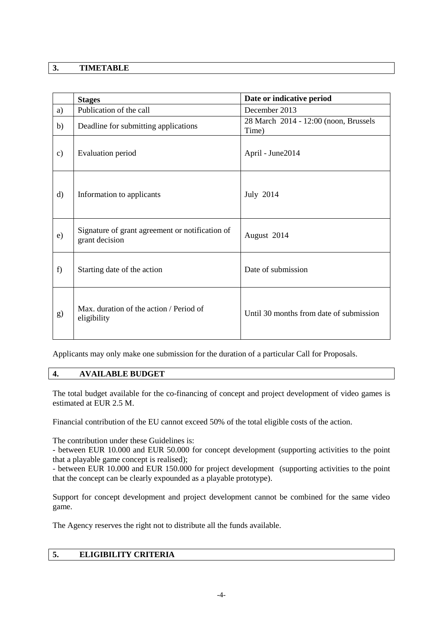## **3. TIMETABLE**

|               | <b>Stages</b>                                                     | Date or indicative period                      |
|---------------|-------------------------------------------------------------------|------------------------------------------------|
| a)            | Publication of the call                                           | December 2013                                  |
| b)            | Deadline for submitting applications                              | 28 March 2014 - 12:00 (noon, Brussels<br>Time) |
| $\mathbf{c})$ | Evaluation period                                                 | April - June2014                               |
| $\rm d)$      | Information to applicants                                         | July 2014                                      |
| e)            | Signature of grant agreement or notification of<br>grant decision | August 2014                                    |
| f)            | Starting date of the action                                       | Date of submission                             |
| g)            | Max. duration of the action / Period of<br>eligibility            | Until 30 months from date of submission        |

Applicants may only make one submission for the duration of a particular Call for Proposals.

## **4. AVAILABLE BUDGET**

The total budget available for the co-financing of concept and project development of video games is estimated at EUR 2.5 M.

Financial contribution of the EU cannot exceed 50% of the total eligible costs of the action.

The contribution under these Guidelines is:

- between EUR 10.000 and EUR 50.000 for concept development (supporting activities to the point that a playable game concept is realised);

- between EUR 10.000 and EUR 150.000 for project development (supporting activities to the point that the concept can be clearly expounded as a playable prototype).

Support for concept development and project development cannot be combined for the same video game.

The Agency reserves the right not to distribute all the funds available.

## **5. ELIGIBILITY CRITERIA**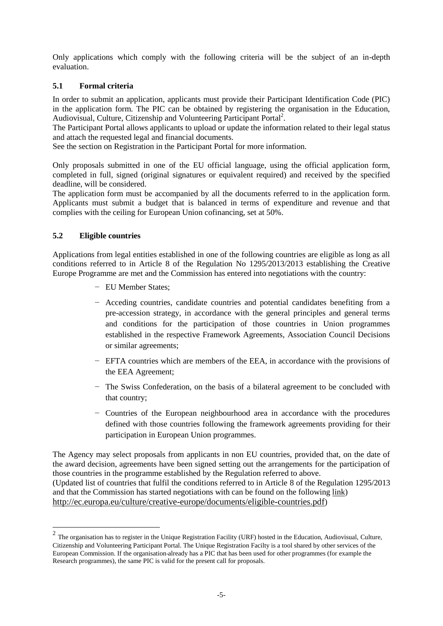Only applications which comply with the following criteria will be the subject of an in-depth evaluation.

## **5.1 Formal criteria**

In order to submit an application, applicants must provide their Participant Identification Code (PIC) in the application form. The PIC can be obtained by registering the organisation in the Education, Audiovisual, Culture, Citizenship and Volunteering Participant Portal<sup>2</sup>.

The Participant Portal allows applicants to upload or update the information related to their legal status and attach the requested legal and financial documents.

See the section on Registration in the Participant Portal for more information.

Only proposals submitted in one of the EU official language, using the official application form, completed in full, signed (original signatures or equivalent required) and received by the specified deadline, will be considered.

The application form must be accompanied by all the documents referred to in the application form. Applicants must submit a budget that is balanced in terms of expenditure and revenue and that complies with the ceiling for European Union cofinancing, set at 50%.

## **5.2 Eligible countries**

Applications from legal entities established in one of the following countries are eligible as long as all conditions referred to in Article 8 of the Regulation No 1295/2013/2013 establishing the Creative Europe Programme are met and the Commission has entered into negotiations with the country:

- − EU Member States;
- − Acceding countries, candidate countries and potential candidates benefiting from a pre-accession strategy, in accordance with the general principles and general terms and conditions for the participation of those countries in Union programmes established in the respective Framework Agreements, Association Council Decisions or similar agreements;
- − EFTA countries which are members of the EEA, in accordance with the provisions of the EEA Agreement;
- − The Swiss Confederation, on the basis of a bilateral agreement to be concluded with that country;
- − Countries of the European neighbourhood area in accordance with the procedures defined with those countries following the framework agreements providing for their participation in European Union programmes.

The Agency may select proposals from applicants in non EU countries, provided that, on the date of the award decision, agreements have been signed setting out the arrangements for the participation of those countries in the programme established by the Regulation referred to above. (Updated list of countries that fulfil the conditions referred to in Article 8 of the Regulation 1295/2013 and that the Commission has started negotiations with can be found on the following link) <http://ec.europa.eu/culture/creative-europe/documents/eligible-countries.pdf>)

The organisation has to register in the Unique Registration Facility (URF) hosted in the Education, Audiovisual, Culture, Citizenship and Volunteering Participant Portal. The Unique Registration Facilty is a tool shared by other services of the European Commission. If the organisation already has a PIC that has been used for other programmes (for example the Research programmes), the same PIC is valid for the present call for proposals.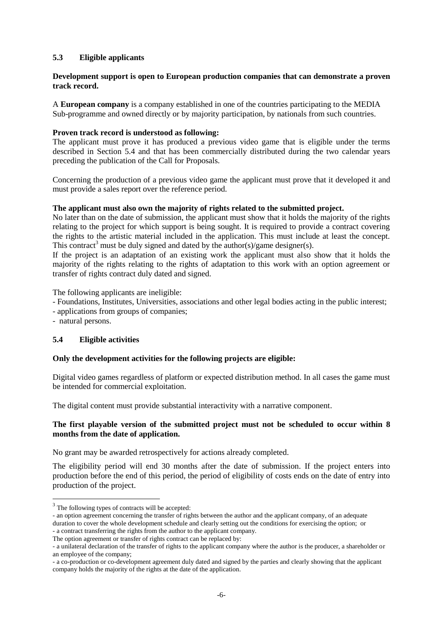## **5.3 Eligible applicants**

#### **Development support is open to European production companies that can demonstrate a proven track record.**

A **European company** is a company established in one of the countries participating to the MEDIA Sub-programme and owned directly or by majority participation, by nationals from such countries.

#### **Proven track record is understood as following:**

The applicant must prove it has produced a previous video game that is eligible under the terms described in Section 5.4 and that has been commercially distributed during the two calendar years preceding the publication of the Call for Proposals.

Concerning the production of a previous video game the applicant must prove that it developed it and must provide a sales report over the reference period.

#### **The applicant must also own the majority of rights related to the submitted project.**

No later than on the date of submission, the applicant must show that it holds the majority of the rights relating to the project for which support is being sought. It is required to provide a contract covering the rights to the artistic material included in the application. This must include at least the concept. This contract<sup>3</sup> must be duly signed and dated by the author(s)/game designer(s).

If the project is an adaptation of an existing work the applicant must also show that it holds the majority of the rights relating to the rights of adaptation to this work with an option agreement or transfer of rights contract duly dated and signed.

The following applicants are ineligible:

- Foundations, Institutes, Universities, associations and other legal bodies acting in the public interest;
- applications from groups of companies;
- natural persons.

<u>.</u>

#### **5.4 Eligible activities**

#### **Only the development activities for the following projects are eligible:**

Digital video games regardless of platform or expected distribution method. In all cases the game must be intended for commercial exploitation.

The digital content must provide substantial interactivity with a narrative component.

#### **The first playable version of the submitted project must not be scheduled to occur within 8 months from the date of application.**

No grant may be awarded retrospectively for actions already completed.

The eligibility period will end 30 months after the date of submission. If the project enters into production before the end of this period, the period of eligibility of costs ends on the date of entry into production of the project.

<sup>&</sup>lt;sup>3</sup> The following types of contracts will be accepted:

<sup>-</sup> an option agreement concerning the transfer of rights between the author and the applicant company, of an adequate duration to cover the whole development schedule and clearly setting out the conditions for exercising the option; or - a contract transferring the rights from the author to the applicant company.

The option agreement or transfer of rights contract can be replaced by:

<sup>-</sup> a unilateral declaration of the transfer of rights to the applicant company where the author is the producer, a shareholder or an employee of the company;

<sup>-</sup> a co-production or co-development agreement duly dated and signed by the parties and clearly showing that the applicant company holds the majority of the rights at the date of the application.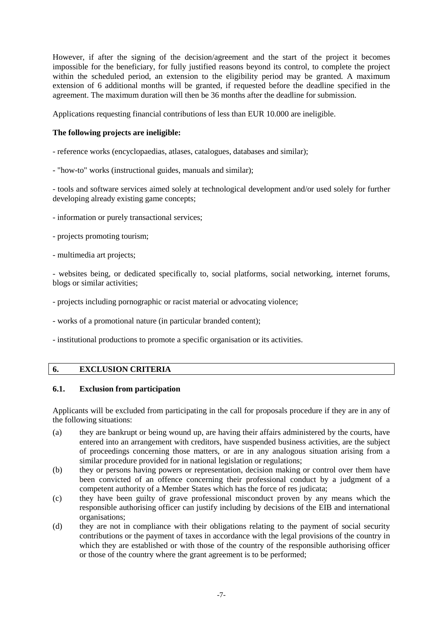However, if after the signing of the decision/agreement and the start of the project it becomes impossible for the beneficiary, for fully justified reasons beyond its control, to complete the project within the scheduled period, an extension to the eligibility period may be granted. A maximum extension of 6 additional months will be granted, if requested before the deadline specified in the agreement. The maximum duration will then be 36 months after the deadline for submission.

Applications requesting financial contributions of less than EUR 10.000 are ineligible.

#### **The following projects are ineligible:**

- reference works (encyclopaedias, atlases, catalogues, databases and similar);
- "how-to" works (instructional guides, manuals and similar);

- tools and software services aimed solely at technological development and/or used solely for further developing already existing game concepts;

- information or purely transactional services;
- projects promoting tourism;
- multimedia art projects;

- websites being, or dedicated specifically to, social platforms, social networking, internet forums, blogs or similar activities;

- projects including pornographic or racist material or advocating violence;
- works of a promotional nature (in particular branded content);
- institutional productions to promote a specific organisation or its activities.

## **6. EXCLUSION CRITERIA**

#### **6.1. Exclusion from participation**

Applicants will be excluded from participating in the call for proposals procedure if they are in any of the following situations:

- (a) they are bankrupt or being wound up, are having their affairs administered by the courts, have entered into an arrangement with creditors, have suspended business activities, are the subject of proceedings concerning those matters, or are in any analogous situation arising from a similar procedure provided for in national legislation or regulations;
- (b) they or persons having powers or representation, decision making or control over them have been convicted of an offence concerning their professional conduct by a judgment of a competent authority of a Member States which has the force of res judicata;
- (c) they have been guilty of grave professional misconduct proven by any means which the responsible authorising officer can justify including by decisions of the EIB and international organisations;
- (d) they are not in compliance with their obligations relating to the payment of social security contributions or the payment of taxes in accordance with the legal provisions of the country in which they are established or with those of the country of the responsible authorising officer or those of the country where the grant agreement is to be performed;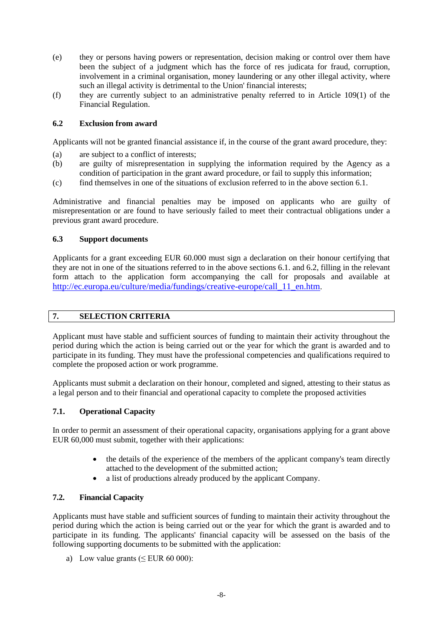- (e) they or persons having powers or representation, decision making or control over them have been the subject of a judgment which has the force of res judicata for fraud, corruption, involvement in a criminal organisation, money laundering or any other illegal activity, where such an illegal activity is detrimental to the Union' financial interests;
- (f) they are currently subject to an administrative penalty referred to in Article 109(1) of the Financial Regulation.

#### **6.2 Exclusion from award**

Applicants will not be granted financial assistance if, in the course of the grant award procedure, they:

- (a) are subject to a conflict of interests;
- (b) are guilty of misrepresentation in supplying the information required by the Agency as a condition of participation in the grant award procedure, or fail to supply this information;
- (c) find themselves in one of the situations of exclusion referred to in the above section 6.1.

Administrative and financial penalties may be imposed on applicants who are guilty of misrepresentation or are found to have seriously failed to meet their contractual obligations under a previous grant award procedure.

#### **6.3 Support documents**

Applicants for a grant exceeding EUR 60.000 must sign a declaration on their honour certifying that they are not in one of the situations referred to in the above sections 6.1. and 6.2, filling in the relevant form attach to the application form accompanying the call for proposals and available at [http://ec.europa.eu/culture/media/fundings/creative-europe/call\\_11\\_en.htm](http://ec.europa.eu/culture/media/fundings/creative-europe/call_11_en.htm).

## **7. SELECTION CRITERIA**

Applicant must have stable and sufficient sources of funding to maintain their activity throughout the period during which the action is being carried out or the year for which the grant is awarded and to participate in its funding. They must have the professional competencies and qualifications required to complete the proposed action or work programme.

Applicants must submit a declaration on their honour, completed and signed, attesting to their status as a legal person and to their financial and operational capacity to complete the proposed activities

#### **7.1. Operational Capacity**

In order to permit an assessment of their operational capacity, organisations applying for a grant above EUR 60,000 must submit, together with their applications:

- the details of the experience of the members of the applicant company's team directly attached to the development of the submitted action;
- a list of productions already produced by the applicant Company.

#### **7.2. Financial Capacity**

Applicants must have stable and sufficient sources of funding to maintain their activity throughout the period during which the action is being carried out or the year for which the grant is awarded and to participate in its funding. The applicants' financial capacity will be assessed on the basis of the following supporting documents to be submitted with the application:

a) Low value grants  $( $EUR 60 000$ ):$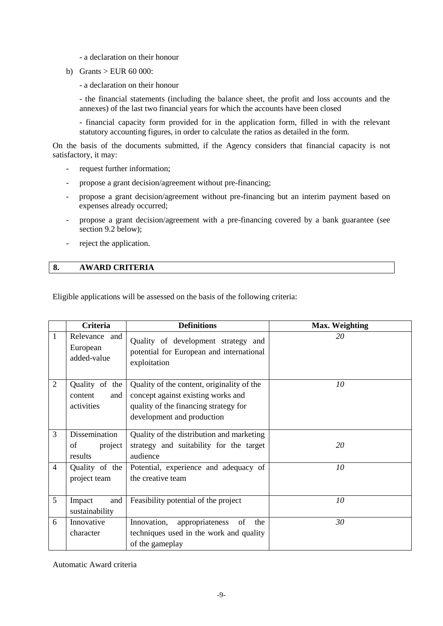- a declaration on their honour

b) Grants  $>$  EUR 60 000:

- a declaration on their honour

- the financial statements (including the balance sheet, the profit and loss accounts and the annexes) of the last two financial years for which the accounts have been closed

- financial capacity form provided for in the application form, filled in with the relevant statutory accounting figures, in order to calculate the ratios as detailed in the form.

On the basis of the documents submitted, if the Agency considers that financial capacity is not satisfactory, it may:

- request further information;
- propose a grant decision/agreement without pre-financing;
- propose a grant decision/agreement without pre-financing but an interim payment based on expenses already occurred;
- propose a grant decision/agreement with a pre-financing covered by a bank guarantee (see section 9.2 below);
- reject the application.

#### **8. AWARD CRITERIA**

Eligible applications will be assessed on the basis of the following criteria:

|                | Criteria                                       | <b>Definitions</b>                                                                                                                                      | <b>Max. Weighting</b> |
|----------------|------------------------------------------------|---------------------------------------------------------------------------------------------------------------------------------------------------------|-----------------------|
| 1              | Relevance and<br>European<br>added-value       | Quality of development strategy and<br>potential for European and international<br>exploitation                                                         | 20                    |
| $\overline{2}$ | Quality of the<br>content<br>and<br>activities | Quality of the content, originality of the<br>concept against existing works and<br>quality of the financing strategy for<br>development and production | 10                    |
| 3              | Dissemination<br>of<br>project<br>results      | Quality of the distribution and marketing<br>strategy and suitability for the target<br>audience                                                        | 20                    |
| $\overline{4}$ | Quality of the<br>project team                 | Potential, experience and adequacy of<br>the creative team                                                                                              | 10                    |
| 5              | and<br>Impact<br>sustainability                | Feasibility potential of the project                                                                                                                    | 10                    |
| 6              | Innovative<br>character                        | Innovation,<br>appropriateness<br>of<br>the<br>techniques used in the work and quality<br>of the gameplay                                               | 30                    |

Automatic Award criteria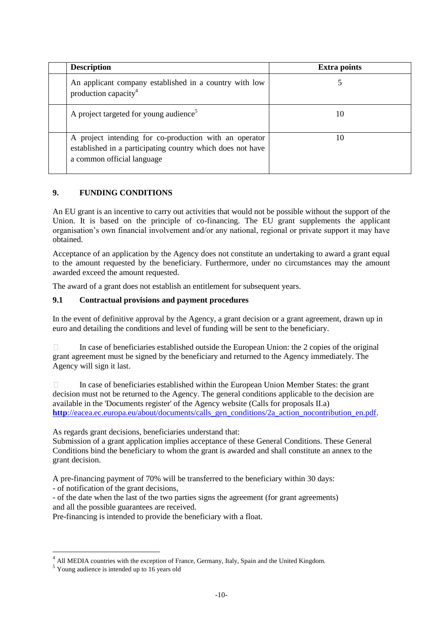| <b>Description</b>                                                                                                                                 | <b>Extra points</b> |
|----------------------------------------------------------------------------------------------------------------------------------------------------|---------------------|
| An applicant company established in a country with low<br>production capacity <sup>4</sup>                                                         |                     |
| A project targeted for young audience <sup>5</sup>                                                                                                 | 10                  |
| A project intending for co-production with an operator<br>established in a participating country which does not have<br>a common official language | 10                  |

## **9. FUNDING CONDITIONS**

An EU grant is an incentive to carry out activities that would not be possible without the support of the Union. It is based on the principle of co-financing. The EU grant supplements the applicant organisation's own financial involvement and/or any national, regional or private support it may have obtained.

Acceptance of an application by the Agency does not constitute an undertaking to award a grant equal to the amount requested by the beneficiary. Furthermore, under no circumstances may the amount awarded exceed the amount requested.

The award of a grant does not establish an entitlement for subsequent years.

## **9.1 Contractual provisions and payment procedures**

In the event of definitive approval by the Agency, a grant decision or a grant agreement, drawn up in euro and detailing the conditions and level of funding will be sent to the beneficiary.

 $\Box$ In case of beneficiaries established outside the European Union: the 2 copies of the original grant agreement must be signed by the beneficiary and returned to the Agency immediately. The Agency will sign it last.

 $\Box$ In case of beneficiaries established within the European Union Member States: the grant decision must not be returned to the Agency. The general conditions applicable to the decision are available in the 'Documents register' of the Agency website (Calls for proposals II.a) **http**[://eacea.ec.europa.eu/about/documents/calls\\_gen\\_conditions/2a\\_action\\_nocontribution\\_en.pdf.](http://eacea.ec.europa.eu/about/documents/calls_gen_conditions/2a_action_nocontribution_en.pdf)

As regards grant decisions, beneficiaries understand that:

Submission of a grant application implies acceptance of these General Conditions. These General Conditions bind the beneficiary to whom the grant is awarded and shall constitute an annex to the grant decision.

A pre-financing payment of 70% will be transferred to the beneficiary within 30 days:

- of notification of the grant decisions,

- of the date when the last of the two parties signs the agreement (for grant agreements) and all the possible guarantees are received.

Pre-financing is intended to provide the beneficiary with a float.

<u>.</u>

<sup>&</sup>lt;sup>4</sup> All MEDIA countries with the exception of France, Germany, Italy, Spain and the United Kingdom.

<sup>5</sup> Young audience is intended up to 16 years old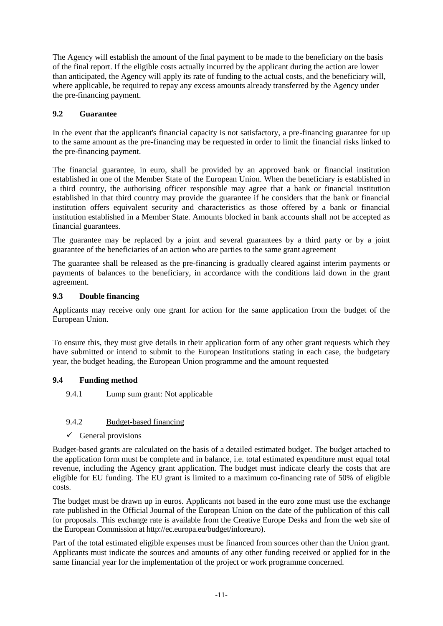The Agency will establish the amount of the final payment to be made to the beneficiary on the basis of the final report. If the eligible costs actually incurred by the applicant during the action are lower than anticipated, the Agency will apply its rate of funding to the actual costs, and the beneficiary will, where applicable, be required to repay any excess amounts already transferred by the Agency under the pre-financing payment.

## **9.2 Guarantee**

In the event that the applicant's financial capacity is not satisfactory, a pre-financing guarantee for up to the same amount as the pre-financing may be requested in order to limit the financial risks linked to the pre-financing payment.

The financial guarantee, in euro, shall be provided by an approved bank or financial institution established in one of the Member State of the European Union. When the beneficiary is established in a third country, the authorising officer responsible may agree that a bank or financial institution established in that third country may provide the guarantee if he considers that the bank or financial institution offers equivalent security and characteristics as those offered by a bank or financial institution established in a Member State. Amounts blocked in bank accounts shall not be accepted as financial guarantees.

The guarantee may be replaced by a joint and several guarantees by a third party or by a joint guarantee of the beneficiaries of an action who are parties to the same grant agreement

The guarantee shall be released as the pre-financing is gradually cleared against interim payments or payments of balances to the beneficiary, in accordance with the conditions laid down in the grant agreement.

## **9.3 Double financing**

Applicants may receive only one grant for action for the same application from the budget of the European Union.

To ensure this, they must give details in their application form of any other grant requests which they have submitted or intend to submit to the European Institutions stating in each case, the budgetary year, the budget heading, the European Union programme and the amount requested

## **9.4 Funding method**

## 9.4.1 **Lump sum grant:** Not applicable

## 9.4.2 Budget-based financing

 $\checkmark$  General provisions

Budget-based grants are calculated on the basis of a detailed estimated budget. The budget attached to the application form must be complete and in balance, i.e. total estimated expenditure must equal total revenue, including the Agency grant application. The budget must indicate clearly the costs that are eligible for EU funding. The EU grant is limited to a maximum co-financing rate of 50% of eligible costs.

The budget must be drawn up in euros. Applicants not based in the euro zone must use the exchange rate published in the Official Journal of the European Union on the date of the publication of this call for proposals. This exchange rate is available from the Creative Europe Desks and from the web site of the European Commission at [http://ec.europa.eu/budget/inforeuro\)](http://ec.europa.eu/budget/inforeuro/).

Part of the total estimated eligible expenses must be financed from sources other than the Union grant. Applicants must indicate the sources and amounts of any other funding received or applied for in the same financial year for the implementation of the project or work programme concerned.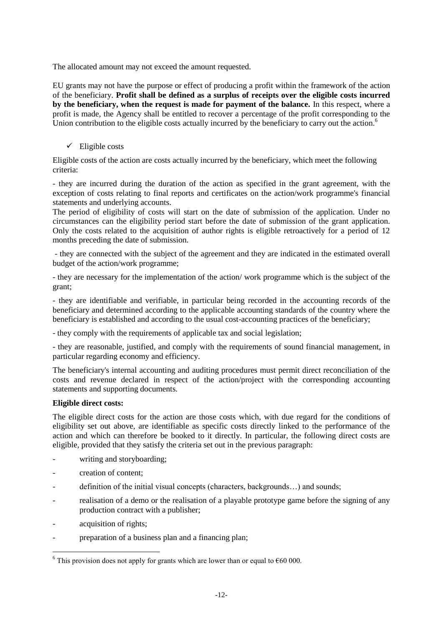The allocated amount may not exceed the amount requested.

EU grants may not have the purpose or effect of producing a profit within the framework of the action of the beneficiary. **Profit shall be defined as a surplus of receipts over the eligible costs incurred by the beneficiary, when the request is made for payment of the balance.** In this respect, where a profit is made, the Agency shall be entitled to recover a percentage of the profit corresponding to the Union contribution to the eligible costs actually incurred by the beneficiary to carry out the action.<sup>6</sup>

 $\checkmark$  Eligible costs

Eligible costs of the action are costs actually incurred by the beneficiary, which meet the following criteria:

- they are incurred during the duration of the action as specified in the grant agreement, with the exception of costs relating to final reports and certificates on the action/work programme's financial statements and underlying accounts.

The period of eligibility of costs will start on the date of submission of the application. Under no circumstances can the eligibility period start before the date of submission of the grant application. Only the costs related to the acquisition of author rights is eligible retroactively for a period of 12 months preceding the date of submission.

- they are connected with the subject of the agreement and they are indicated in the estimated overall budget of the action/work programme;

- they are necessary for the implementation of the action/ work programme which is the subject of the grant;

- they are identifiable and verifiable, in particular being recorded in the accounting records of the beneficiary and determined according to the applicable accounting standards of the country where the beneficiary is established and according to the usual cost-accounting practices of the beneficiary;

- they comply with the requirements of applicable tax and social legislation;

- they are reasonable, justified, and comply with the requirements of sound financial management, in particular regarding economy and efficiency.

The beneficiary's internal accounting and auditing procedures must permit direct reconciliation of the costs and revenue declared in respect of the action/project with the corresponding accounting statements and supporting documents.

## **Eligible direct costs:**

The eligible direct costs for the action are those costs which, with due regard for the conditions of eligibility set out above, are identifiable as specific costs directly linked to the performance of the action and which can therefore be booked to it directly. In particular, the following direct costs are eligible, provided that they satisfy the criteria set out in the previous paragraph:

- writing and storyboarding;
- creation of content;
- definition of the initial visual concepts (characters, backgrounds...) and sounds;
- realisation of a demo or the realisation of a playable prototype game before the signing of any production contract with a publisher;
- acquisition of rights;

<u>.</u>

- preparation of a business plan and a financing plan;

<sup>&</sup>lt;sup>6</sup> This provision does not apply for grants which are lower than or equal to  $\epsilon$ 60 000.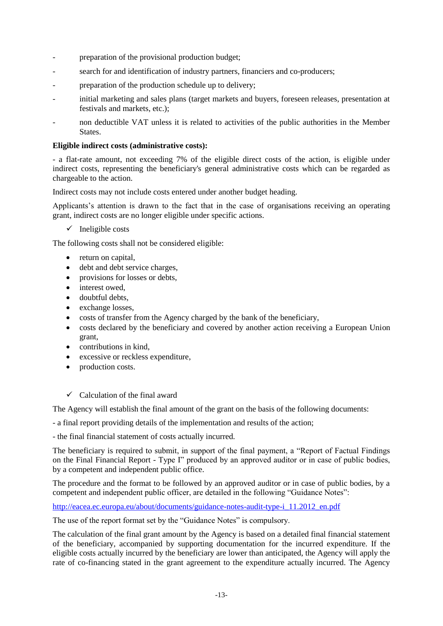- preparation of the provisional production budget;
- search for and identification of industry partners, financiers and co-producers;
- preparation of the production schedule up to delivery;
- initial marketing and sales plans (target markets and buyers, foreseen releases, presentation at festivals and markets, etc.);
- non deductible VAT unless it is related to activities of the public authorities in the Member **States**.

#### **Eligible indirect costs (administrative costs):**

- a flat-rate amount, not exceeding 7% of the eligible direct costs of the action, is eligible under indirect costs, representing the beneficiary's general administrative costs which can be regarded as chargeable to the action.

Indirect costs may not include costs entered under another budget heading.

Applicants's attention is drawn to the fact that in the case of organisations receiving an operating grant, indirect costs are no longer eligible under specific actions.

 $\checkmark$  Ineligible costs

The following costs shall not be considered eligible:

- return on capital,
- debt and debt service charges,
- provisions for losses or debts,
- interest owed,
- doubtful debts.
- exchange losses,
- costs of transfer from the Agency charged by the bank of the beneficiary,
- costs declared by the beneficiary and covered by another action receiving a European Union grant,
- contributions in kind.
- excessive or reckless expenditure,
- production costs.

 $\checkmark$  Calculation of the final award

The Agency will establish the final amount of the grant on the basis of the following documents:

- a final report providing details of the implementation and results of the action;

- the final financial statement of costs actually incurred.

The beneficiary is required to submit, in support of the final payment, a "Report of Factual Findings on the Final Financial Report - Type I" produced by an approved auditor or in case of public bodies, by a competent and independent public office.

The procedure and the format to be followed by an approved auditor or in case of public bodies, by a competent and independent public officer, are detailed in the following "Guidance Notes":

[http://eacea.ec.europa.eu/about/documents/guidance-notes-audit-type-i\\_11.2012\\_en.pdf](http://eacea.ec.europa.eu/about/documents/guidance-notes-audit-type-i_11.2012_en.pdf)

The use of the report format set by the "Guidance Notes" is compulsory.

The calculation of the final grant amount by the Agency is based on a detailed final financial statement of the beneficiary, accompanied by supporting documentation for the incurred expenditure. If the eligible costs actually incurred by the beneficiary are lower than anticipated, the Agency will apply the rate of co-financing stated in the grant agreement to the expenditure actually incurred. The Agency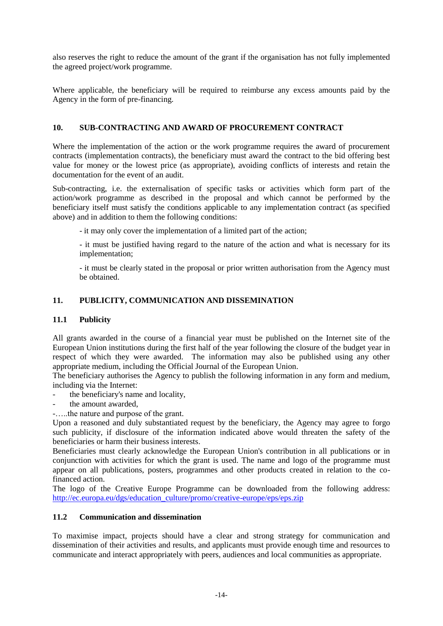also reserves the right to reduce the amount of the grant if the organisation has not fully implemented the agreed project/work programme.

Where applicable, the beneficiary will be required to reimburse any excess amounts paid by the Agency in the form of pre-financing.

## **10. SUB-CONTRACTING AND AWARD OF PROCUREMENT CONTRACT**

Where the implementation of the action or the work programme requires the award of procurement contracts (implementation contracts), the beneficiary must award the contract to the bid offering best value for money or the lowest price (as appropriate), avoiding conflicts of interests and retain the documentation for the event of an audit.

Sub-contracting, i.e. the externalisation of specific tasks or activities which form part of the action/work programme as described in the proposal and which cannot be performed by the beneficiary itself must satisfy the conditions applicable to any implementation contract (as specified above) and in addition to them the following conditions:

- it may only cover the implementation of a limited part of the action;

- it must be justified having regard to the nature of the action and what is necessary for its implementation;

- it must be clearly stated in the proposal or prior written authorisation from the Agency must be obtained.

## **11. PUBLICITY, COMMUNICATION AND DISSEMINATION**

## **11.1 Publicity**

All grants awarded in the course of a financial year must be published on the Internet site of the European Union institutions during the first half of the year following the closure of the budget year in respect of which they were awarded. The information may also be published using any other appropriate medium, including the Official Journal of the European Union.

The beneficiary authorises the Agency to publish the following information in any form and medium, including via the Internet:

- the beneficiary's name and locality,
- the amount awarded.
- -…..the nature and purpose of the grant.

Upon a reasoned and duly substantiated request by the beneficiary, the Agency may agree to forgo such publicity, if disclosure of the information indicated above would threaten the safety of the beneficiaries or harm their business interests.

Beneficiaries must clearly acknowledge the European Union's contribution in all publications or in conjunction with activities for which the grant is used. The name and logo of the programme must appear on all publications, posters, programmes and other products created in relation to the cofinanced action.

The logo of the Creative Europe Programme can be downloaded from the following address: [http://ec.europa.eu/dgs/education\\_culture/promo/creative-europe/eps/eps.zip](http://ec.europa.eu/dgs/education_culture/promo/creative-europe/eps/eps.zip)

## **11.2 Communication and dissemination**

To maximise impact, projects should have a clear and strong strategy for communication and dissemination of their activities and results, and applicants must provide enough time and resources to communicate and interact appropriately with peers, audiences and local communities as appropriate.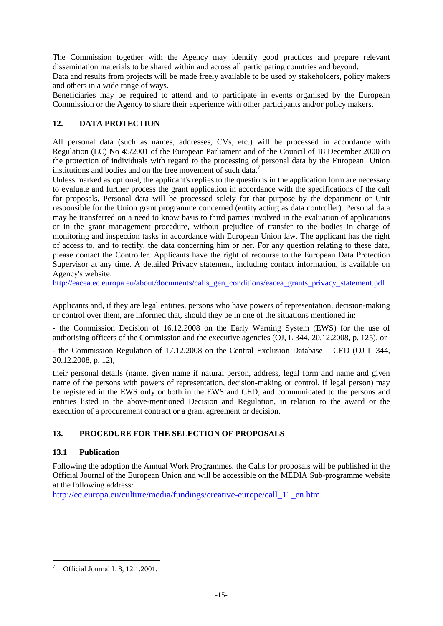The Commission together with the Agency may identify good practices and prepare relevant dissemination materials to be shared within and across all participating countries and beyond.

Data and results from projects will be made freely available to be used by stakeholders, policy makers and others in a wide range of ways.

Beneficiaries may be required to attend and to participate in events organised by the European Commission or the Agency to share their experience with other participants and/or policy makers.

## **12. DATA PROTECTION**

All personal data (such as names, addresses, CVs, etc.) will be processed in accordance with Regulation (EC) No 45/2001 of the European Parliament and of the Council of 18 December 2000 on the protection of individuals with regard to the processing of personal data by the European Union institutions and bodies and on the free movement of such data.<sup>7</sup>

Unless marked as optional, the applicant's replies to the questions in the application form are necessary to evaluate and further process the grant application in accordance with the specifications of the call for proposals. Personal data will be processed solely for that purpose by the department or Unit responsible for the Union grant programme concerned (entity acting as data controller). Personal data may be transferred on a need to know basis to third parties involved in the evaluation of applications or in the grant management procedure, without prejudice of transfer to the bodies in charge of monitoring and inspection tasks in accordance with European Union law. The applicant has the right of access to, and to rectify, the data concerning him or her. For any question relating to these data, please contact the Controller. Applicants have the right of recourse to the European Data Protection Supervisor at any time. A detailed Privacy statement, including contact information, is available on Agency's website:

[http://eacea.ec.europa.eu/about/documents/calls\\_gen\\_conditions/eacea\\_grants\\_privacy\\_statement.pdf](http://eacea.ec.europa.eu/about/documents/calls_gen_conditions/eacea_grants_privacy_statement.pdf)

Applicants and, if they are legal entities, persons who have powers of representation, decision-making or control over them, are informed that, should they be in one of the situations mentioned in:

- the Commission Decision of 16.12.2008 on the Early Warning System (EWS) for the use of authorising officers of the Commission and the executive agencies (OJ, L 344, 20.12.2008, p. 125), or

- the Commission Regulation of 17.12.2008 on the Central Exclusion Database – CED (OJ L 344, 20.12.2008, p. 12),

their personal details (name, given name if natural person, address, legal form and name and given name of the persons with powers of representation, decision-making or control, if legal person) may be registered in the EWS only or both in the EWS and CED, and communicated to the persons and entities listed in the above-mentioned Decision and Regulation, in relation to the award or the execution of a procurement contract or a grant agreement or decision.

## **13. PROCEDURE FOR THE SELECTION OF PROPOSALS**

## **13.1 Publication**

Following the adoption the Annual Work Programmes, the Calls for proposals will be published in the Official Journal of the European Union and will be accessible on the MEDIA Sub-programme website at the following address:

[http://ec.europa.eu/culture/media/fundings/creative-europe/call\\_11\\_en.htm](http://ec.europa.eu/culture/media/fundings/creative-europe/call_11_en.htm)

<sup>1</sup> <sup>7</sup> Official Journal L 8, 12.1.2001.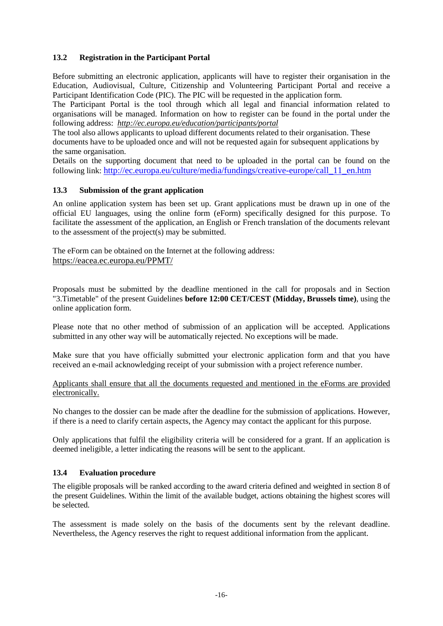## **13.2 Registration in the Participant Portal**

Before submitting an electronic application, applicants will have to register their organisation in the Education, Audiovisual, Culture, Citizenship and Volunteering Participant Portal and receive a Participant Identification Code (PIC). The PIC will be requested in the application form.

The Participant Portal is the tool through which all legal and financial information related to organisations will be managed. Information on how to register can be found in the portal under the following address: *<http://ec.europa.eu/education/participants/portal>*

The tool also allows applicants to upload different documents related to their organisation. These documents have to be uploaded once and will not be requested again for subsequent applications by the same organisation.

Details on the supporting document that need to be uploaded in the portal can be found on the following link: [http://ec.europa.eu/culture/media/fundings/creative-europe/call\\_11\\_en.htm](http://ec.europa.eu/culture/media/fundings/creative-europe/call_11_en.htm)

#### **13.3 Submission of the grant application**

An online application system has been set up. Grant applications must be drawn up in one of the official EU languages, using the online form (eForm) specifically designed for this purpose. To facilitate the assessment of the application, an English or French translation of the documents relevant to the assessment of the project(s) may be submitted.

The eForm can be obtained on the Internet at the following address: <https://eacea.ec.europa.eu/PPMT/>

Proposals must be submitted by the deadline mentioned in the call for proposals and in Section "3.Timetable" of the present Guidelines **before 12:00 CET/CEST (Midday, Brussels time)**, using the online application form.

Please note that no other method of submission of an application will be accepted. Applications submitted in any other way will be automatically rejected. No exceptions will be made.

Make sure that you have officially submitted your electronic application form and that you have received an e-mail acknowledging receipt of your submission with a project reference number.

Applicants shall ensure that all the documents requested and mentioned in the eForms are provided electronically.

No changes to the dossier can be made after the deadline for the submission of applications. However, if there is a need to clarify certain aspects, the Agency may contact the applicant for this purpose.

Only applications that fulfil the eligibility criteria will be considered for a grant. If an application is deemed ineligible, a letter indicating the reasons will be sent to the applicant.

#### **13.4 Evaluation procedure**

The eligible proposals will be ranked according to the award criteria defined and weighted in section 8 of the present Guidelines. Within the limit of the available budget, actions obtaining the highest scores will be selected.

The assessment is made solely on the basis of the documents sent by the relevant deadline. Nevertheless, the Agency reserves the right to request additional information from the applicant.